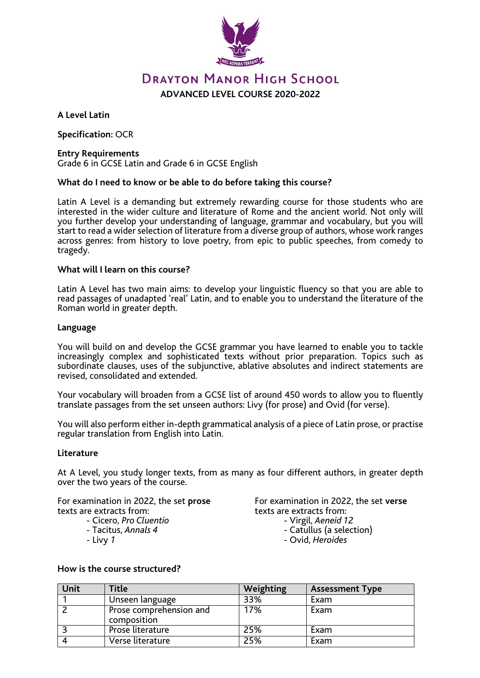

# **DRAYTON MANOR HIGH SCHOOL ADVANCED LEVEL COURSE 2020-2022**

**A Level Latin**

**Specification:** OCR

## **Entry Requirements**

Grade 6 in GCSE Latin and Grade 6 in GCSE English

# **What do I need to know or be able to do before taking this course?**

Latin A Level is a demanding but extremely rewarding course for those students who are interested in the wider culture and literature of Rome and the ancient world. Not only will you further develop your understanding of language, grammar and vocabulary, but you will start to read a wider selection of literature from a diverse group of authors, whose work ranges across genres: from history to love poetry, from epic to public speeches, from comedy to tragedy.

## **What will I learn on this course?**

Latin A Level has two main aims: to develop your linguistic fluency so that you are able to read passages of unadapted 'real' Latin, and to enable you to understand the literature of the Roman world in greater depth.

## **Language**

You will build on and develop the GCSE grammar you have learned to enable you to tackle increasingly complex and sophisticated texts without prior preparation. Topics such as subordinate clauses, uses of the subjunctive, ablative absolutes and indirect statements are revised, consolidated and extended.

Your vocabulary will broaden from a GCSE list of around 450 words to allow you to fluently translate passages from the set unseen authors: Livy (for prose) and Ovid (for verse).

You will also perform either in-depth grammatical analysis of a piece of Latin prose, or practise regular translation from English into Latin.

#### **Literature**

At A Level, you study longer texts, from as many as four different authors, in greater depth over the two years of the course.

For examination in 2022, the set **prose** texts are extracts from: - Cicero, *Pro Cluentio* - Tacitus, *Annals 4* - Livy *<sup>1</sup>*

- 
- 
- 

For examination in 2022, the set **verse** texts are extracts from:<br>- Virgil, *Aeneid 12*<br>- Catullus (a selection)

- -
	- Ovid, *Heroides*

#### **How is the course structured?**

| Unit | Title                                  | Weighting | <b>Assessment Type</b> |
|------|----------------------------------------|-----------|------------------------|
|      | Unseen language                        | 33%       | Exam                   |
|      | Prose comprehension and<br>composition | 17%       | Exam                   |
|      | Prose literature                       | 25%       | Exam                   |
|      | Verse literature                       | 25%       | Exam                   |